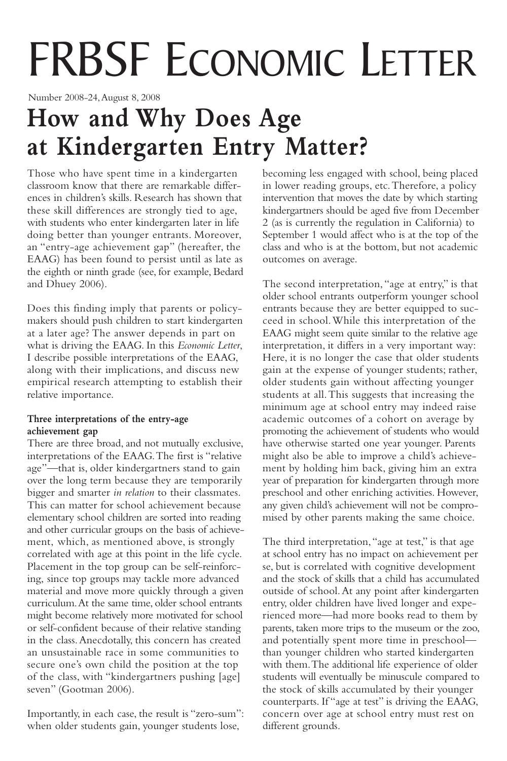# FRBSF ECONOMIC LETTER

Number 2008-24,August 8, 2008

## **How and Why Does Age at Kindergarten Entry Matter?**

Those who have spent time in a kindergarten classroom know that there are remarkable differences in children's skills. Research has shown that these skill differences are strongly tied to age, with students who enter kindergarten later in life doing better than younger entrants. Moreover, an "entry-age achievement gap" (hereafter, the EAAG) has been found to persist until as late as the eighth or ninth grade (see, for example, Bedard and Dhuey 2006).

Does this finding imply that parents or policymakers should push children to start kindergarten at a later age? The answer depends in part on what is driving the EAAG. In this *Economic Letter*, I describe possible interpretations of the EAAG, along with their implications, and discuss new empirical research attempting to establish their relative importance.

#### **Three interpretations of the entry-age achievement gap**

There are three broad, and not mutually exclusive, interpretations of the EAAG.The first is "relative age"—that is, older kindergartners stand to gain over the long term because they are temporarily bigger and smarter *in relation* to their classmates. This can matter for school achievement because elementary school children are sorted into reading and other curricular groups on the basis of achievement, which, as mentioned above, is strongly correlated with age at this point in the life cycle. Placement in the top group can be self-reinforcing, since top groups may tackle more advanced material and move more quickly through a given curriculum.At the same time, older school entrants might become relatively more motivated for school or self-confident because of their relative standing in the class.Anecdotally, this concern has created an unsustainable race in some communities to secure one's own child the position at the top of the class, with "kindergartners pushing [age] seven" (Gootman 2006).

Importantly, in each case, the result is "zero-sum": when older students gain, younger students lose,

becoming less engaged with school, being placed in lower reading groups, etc.Therefore, a policy intervention that moves the date by which starting kindergartners should be aged five from December 2 (as is currently the regulation in California) to September 1 would affect who is at the top of the class and who is at the bottom, but not academic outcomes on average.

The second interpretation, "age at entry," is that older school entrants outperform younger school entrants because they are better equipped to succeed in school.While this interpretation of the EAAG might seem quite similar to the relative age interpretation, it differs in a very important way: Here, it is no longer the case that older students gain at the expense of younger students; rather, older students gain without affecting younger students at all.This suggests that increasing the minimum age at school entry may indeed raise academic outcomes of a cohort on average by promoting the achievement of students who would have otherwise started one year younger. Parents might also be able to improve a child's achievement by holding him back, giving him an extra year of preparation for kindergarten through more preschool and other enriching activities. However, any given child's achievement will not be compromised by other parents making the same choice.

The third interpretation,"age at test," is that age at school entry has no impact on achievement per se, but is correlated with cognitive development and the stock of skills that a child has accumulated outside of school.At any point after kindergarten entry, older children have lived longer and experienced more—had more books read to them by parents, taken more trips to the museum or the zoo, and potentially spent more time in preschool than younger children who started kindergarten with them.The additional life experience of older students will eventually be minuscule compared to the stock of skills accumulated by their younger counterparts. If "age at test" is driving the EAAG, concern over age at school entry must rest on different grounds.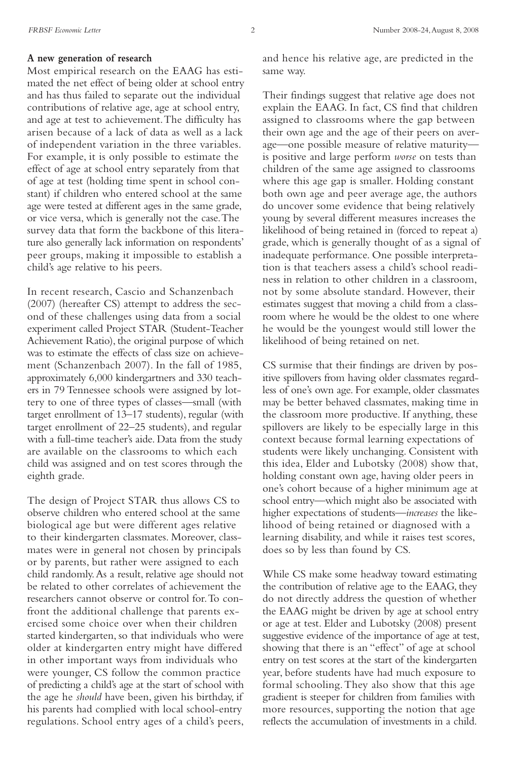#### **A new generation of research**

Most empirical research on the EAAG has estimated the net effect of being older at school entry and has thus failed to separate out the individual contributions of relative age, age at school entry, and age at test to achievement.The difficulty has arisen because of a lack of data as well as a lack of independent variation in the three variables. For example, it is only possible to estimate the effect of age at school entry separately from that of age at test (holding time spent in school constant) if children who entered school at the same age were tested at different ages in the same grade, or vice versa, which is generally not the case.The survey data that form the backbone of this literature also generally lack information on respondents' peer groups, making it impossible to establish a child's age relative to his peers.

In recent research, Cascio and Schanzenbach (2007) (hereafter CS) attempt to address the second of these challenges using data from a social experiment called Project STAR (Student-Teacher Achievement Ratio), the original purpose of which was to estimate the effects of class size on achievement (Schanzenbach 2007). In the fall of 1985, approximately 6,000 kindergartners and 330 teachers in 79 Tennessee schools were assigned by lottery to one of three types of classes—small (with target enrollment of 13–17 students), regular (with target enrollment of 22–25 students), and regular with a full-time teacher's aide. Data from the study are available on the classrooms to which each child was assigned and on test scores through the eighth grade.

The design of Project STAR thus allows CS to observe children who entered school at the same biological age but were different ages relative to their kindergarten classmates. Moreover, classmates were in general not chosen by principals or by parents, but rather were assigned to each child randomly.As a result, relative age should not be related to other correlates of achievement the researchers cannot observe or control for.To confront the additional challenge that parents exercised some choice over when their children started kindergarten, so that individuals who were older at kindergarten entry might have differed in other important ways from individuals who were younger, CS follow the common practice of predicting a child's age at the start of school with the age he *should* have been, given his birthday, if his parents had complied with local school-entry regulations. School entry ages of a child's peers, and hence his relative age, are predicted in the same way.

Their findings suggest that relative age does not explain the EAAG. In fact, CS find that children assigned to classrooms where the gap between their own age and the age of their peers on average—one possible measure of relative maturity is positive and large perform *worse* on tests than children of the same age assigned to classrooms where this age gap is smaller. Holding constant both own age and peer average age, the authors do uncover some evidence that being relatively young by several different measures increases the likelihood of being retained in (forced to repeat a) grade, which is generally thought of as a signal of inadequate performance. One possible interpretation is that teachers assess a child's school readiness in relation to other children in a classroom, not by some absolute standard. However, their estimates suggest that moving a child from a classroom where he would be the oldest to one where he would be the youngest would still lower the likelihood of being retained on net.

CS surmise that their findings are driven by positive spillovers from having older classmates regardless of one's own age. For example, older classmates may be better behaved classmates, making time in the classroom more productive. If anything, these spillovers are likely to be especially large in this context because formal learning expectations of students were likely unchanging. Consistent with this idea, Elder and Lubotsky (2008) show that, holding constant own age, having older peers in one's cohort because of a higher minimum age at school entry—which might also be associated with higher expectations of students—*increases* the likelihood of being retained or diagnosed with a learning disability, and while it raises test scores, does so by less than found by CS.

While CS make some headway toward estimating the contribution of relative age to the EAAG, they do not directly address the question of whether the EAAG might be driven by age at school entry or age at test. Elder and Lubotsky (2008) present suggestive evidence of the importance of age at test, showing that there is an "effect" of age at school entry on test scores at the start of the kindergarten year, before students have had much exposure to formal schooling.They also show that this age gradient is steeper for children from families with more resources, supporting the notion that age reflects the accumulation of investments in a child.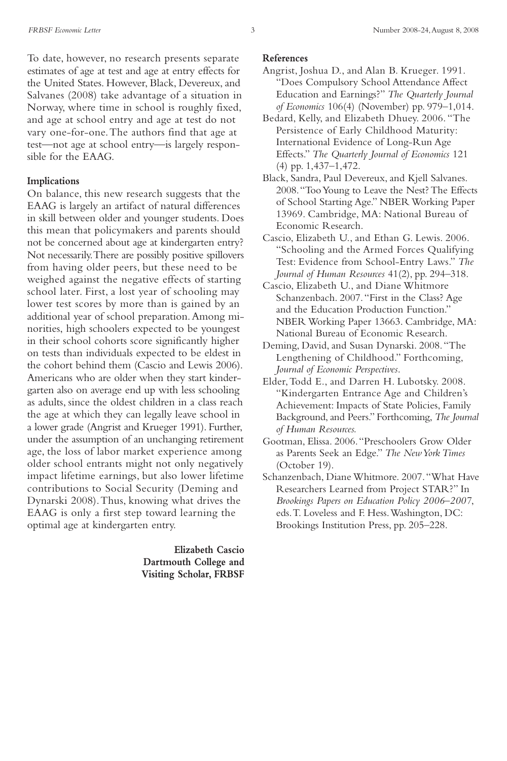To date, however, no research presents separate estimates of age at test and age at entry effects for the United States. However, Black, Devereux, and Salvanes (2008) take advantage of a situation in Norway, where time in school is roughly fixed, and age at school entry and age at test do not vary one-for-one.The authors find that age at test—not age at school entry—is largely responsible for the EAAG.

#### **Implications**

On balance, this new research suggests that the EAAG is largely an artifact of natural differences in skill between older and younger students. Does this mean that policymakers and parents should not be concerned about age at kindergarten entry? Not necessarily.There are possibly positive spillovers from having older peers, but these need to be weighed against the negative effects of starting school later. First, a lost year of schooling may lower test scores by more than is gained by an additional year of school preparation.Among minorities, high schoolers expected to be youngest in their school cohorts score significantly higher on tests than individuals expected to be eldest in the cohort behind them (Cascio and Lewis 2006). Americans who are older when they start kindergarten also on average end up with less schooling as adults, since the oldest children in a class reach the age at which they can legally leave school in a lower grade (Angrist and Krueger 1991). Further, under the assumption of an unchanging retirement age, the loss of labor market experience among older school entrants might not only negatively impact lifetime earnings, but also lower lifetime contributions to Social Security (Deming and Dynarski 2008).Thus, knowing what drives the EAAG is only a first step toward learning the optimal age at kindergarten entry.

> **Elizabeth Cascio Dartmouth College and Visiting Scholar, FRBSF**

#### **References**

- Angrist, Joshua D., and Alan B. Krueger. 1991. "Does Compulsory School Attendance Affect Education and Earnings?" *The Quarterly Journal of Economics* 106(4) (November) pp. 979–1,014.
- Bedard, Kelly, and Elizabeth Dhuey. 2006. "The Persistence of Early Childhood Maturity: International Evidence of Long-Run Age Effects." *The Quarterly Journal of Economics* 121 (4) pp. 1,437–1,472.
- Black, Sandra, Paul Devereux, and Kjell Salvanes. 2008."TooYoung to Leave the Nest?The Effects of School Starting Age." NBER Working Paper 13969. Cambridge, MA: National Bureau of Economic Research.
- Cascio, Elizabeth U., and Ethan G. Lewis. 2006. "Schooling and the Armed Forces Qualifying Test: Evidence from School-Entry Laws." *The Journal of Human Resources* 41(2), pp. 294–318.
- Cascio, Elizabeth U., and Diane Whitmore Schanzenbach. 2007."First in the Class? Age and the Education Production Function." NBER Working Paper 13663. Cambridge, MA: National Bureau of Economic Research.
- Deming, David, and Susan Dynarski. 2008."The Lengthening of Childhood." Forthcoming, *Journal of Economic Perspectives*.
- Elder,Todd E., and Darren H. Lubotsky. 2008. "Kindergarten Entrance Age and Children's Achievement: Impacts of State Policies, Family Background,and Peers." Forthcoming, *The Journal of Human Resources.*
- Gootman, Elissa. 2006."Preschoolers Grow Older as Parents Seek an Edge." *The NewYorkTimes* (October 19).
- Schanzenbach, Diane Whitmore. 2007."What Have Researchers Learned from Project STAR?" In *Brookings Papers on Education Policy 2006–2007*, eds.T. Loveless and F. Hess.Washington, DC: Brookings Institution Press, pp. 205–228.